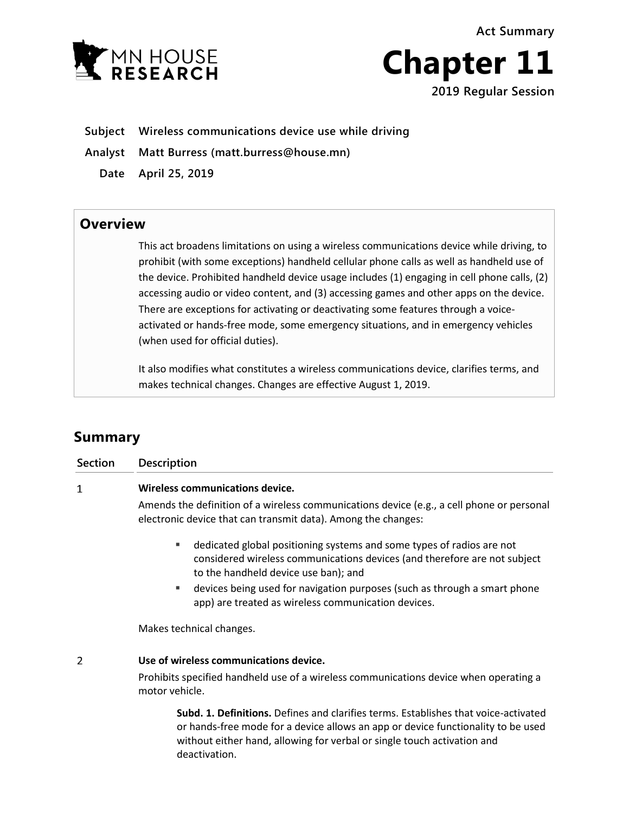**Act Summary**





- **Subject Wireless communications device use while driving**
- **Analyst Matt Burress (matt.burress@house.mn)**
	- **Date April 25, 2019**

## **Overview**

This act broadens limitations on using a wireless communications device while driving, to prohibit (with some exceptions) handheld cellular phone calls as well as handheld use of the device. Prohibited handheld device usage includes (1) engaging in cell phone calls, (2) accessing audio or video content, and (3) accessing games and other apps on the device. There are exceptions for activating or deactivating some features through a voiceactivated or hands-free mode, some emergency situations, and in emergency vehicles (when used for official duties).

It also modifies what constitutes a wireless communications device, clarifies terms, and makes technical changes. Changes are effective August 1, 2019.

## **Summary**

| <b>Section</b> | <b>Description</b>                                                                                                                                                                              |
|----------------|-------------------------------------------------------------------------------------------------------------------------------------------------------------------------------------------------|
| 1              | Wireless communications device.                                                                                                                                                                 |
|                | Amends the definition of a wireless communications device (e.g., a cell phone or personal<br>electronic device that can transmit data). Among the changes:                                      |
|                | dedicated global positioning systems and some types of radios are not<br>٠<br>considered wireless communications devices (and therefore are not subject<br>to the handheld device use ban); and |
|                | devices being used for navigation purposes (such as through a smart phone<br>ш<br>app) are treated as wireless communication devices.                                                           |
|                | Makes technical changes.                                                                                                                                                                        |
|                | Use of wireless communications device.                                                                                                                                                          |

Prohibits specified handheld use of a wireless communications device when operating a motor vehicle.

**Subd. 1. Definitions.** Defines and clarifies terms. Establishes that voice-activated or hands-free mode for a device allows an app or device functionality to be used without either hand, allowing for verbal or single touch activation and deactivation.